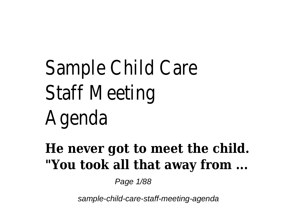# Sample Child Care Staff Meeting Agenda

## **He never got to meet the child. "You took all that away from ...**

Page 1/88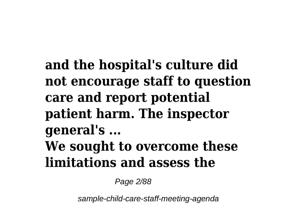# **and the hospital's culture did not encourage staff to question care and report potential patient harm. The inspector general's ... We sought to overcome these limitations and assess the**

Page 2/88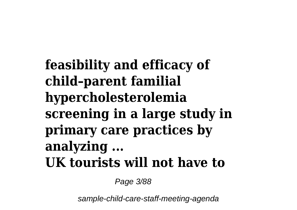**feasibility and efficacy of child–parent familial hypercholesterolemia screening in a large study in primary care practices by analyzing ... UK tourists will not have to**

Page 3/88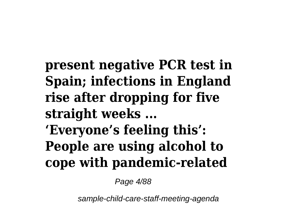**present negative PCR test in Spain; infections in England rise after dropping for five straight weeks ... 'Everyone's feeling this': People are using alcohol to cope with pandemic-related**

Page 4/88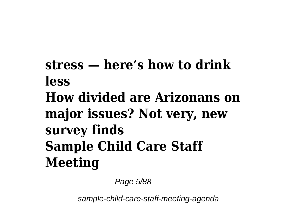# **stress — here's how to drink less How divided are Arizonans on major issues? Not very, new survey finds Sample Child Care Staff Meeting**

Page 5/88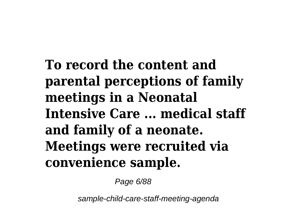**To record the content and parental perceptions of family meetings in a Neonatal Intensive Care ... medical staff and family of a neonate. Meetings were recruited via convenience sample.**

Page 6/88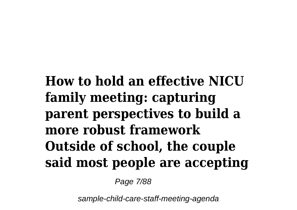**How to hold an effective NICU family meeting: capturing parent perspectives to build a more robust framework Outside of school, the couple said most people are accepting**

Page 7/88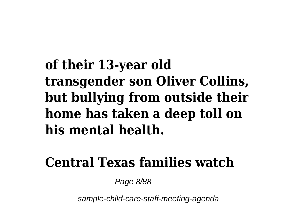# **of their 13-year old transgender son Oliver Collins, but bullying from outside their home has taken a deep toll on his mental health.**

#### **Central Texas families watch**

Page 8/88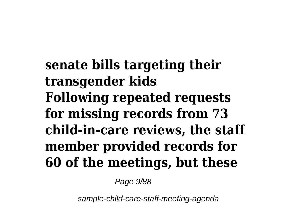**senate bills targeting their transgender kids Following repeated requests for missing records from 73 child-in-care reviews, the staff member provided records for 60 of the meetings, but these**

Page 9/88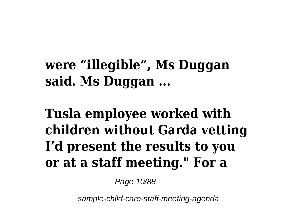#### **were "illegible", Ms Duggan said. Ms Duggan ...**

# **Tusla employee worked with children without Garda vetting I'd present the results to you or at a staff meeting." For a**

Page 10/88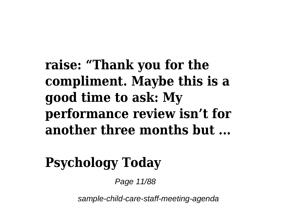**raise: "Thank you for the compliment. Maybe this is a good time to ask: My performance review isn't for another three months but ...**

# **Psychology Today**

Page 11/88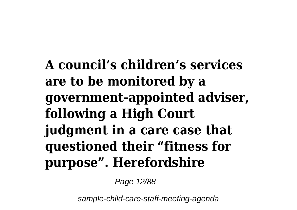**A council's children's services are to be monitored by a government-appointed adviser, following a High Court judgment in a care case that questioned their "fitness for purpose". Herefordshire**

Page 12/88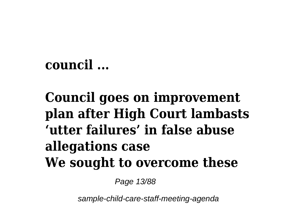#### **council ...**

# **Council goes on improvement plan after High Court lambasts 'utter failures' in false abuse allegations case We sought to overcome these**

Page 13/88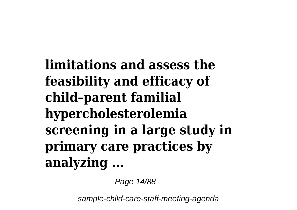**limitations and assess the feasibility and efficacy of child–parent familial hypercholesterolemia screening in a large study in primary care practices by analyzing ...**

Page 14/88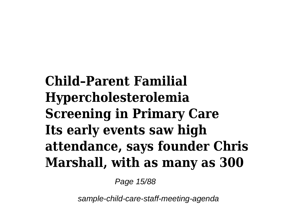**Child–Parent Familial Hypercholesterolemia Screening in Primary Care Its early events saw high attendance, says founder Chris Marshall, with as many as 300**

Page 15/88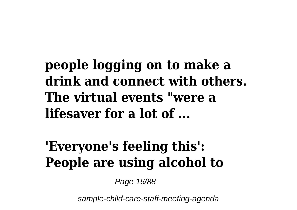#### **people logging on to make a drink and connect with others. The virtual events "were a lifesaver for a lot of ...**

# **'Everyone's feeling this': People are using alcohol to**

Page 16/88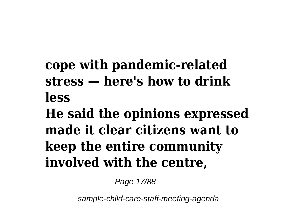# **cope with pandemic-related stress — here's how to drink less**

**He said the opinions expressed made it clear citizens want to keep the entire community involved with the centre,**

Page 17/88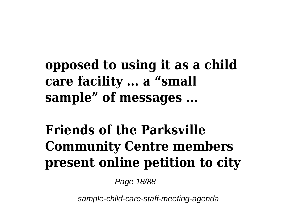# **opposed to using it as a child care facility ... a "small sample" of messages ...**

# **Friends of the Parksville Community Centre members present online petition to city**

Page 18/88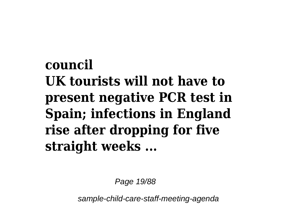# **council UK tourists will not have to present negative PCR test in Spain; infections in England rise after dropping for five straight weeks ...**

Page 19/88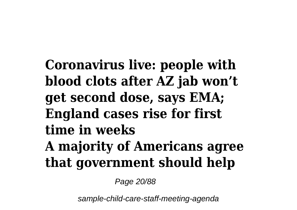**Coronavirus live: people with blood clots after AZ jab won't get second dose, says EMA; England cases rise for first time in weeks A majority of Americans agree that government should help**

Page 20/88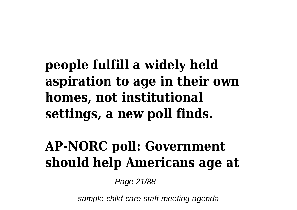# **people fulfill a widely held aspiration to age in their own homes, not institutional settings, a new poll finds.**

#### **AP-NORC poll: Government should help Americans age at**

Page 21/88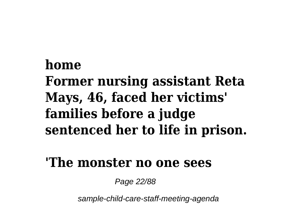# **home Former nursing assistant Reta Mays, 46, faced her victims' families before a judge sentenced her to life in prison.**

#### **'The monster no one sees**

Page 22/88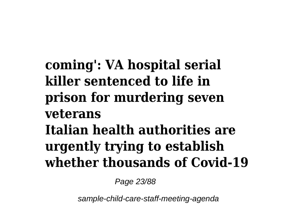# **coming': VA hospital serial killer sentenced to life in prison for murdering seven veterans Italian health authorities are urgently trying to establish whether thousands of Covid-19**

Page 23/88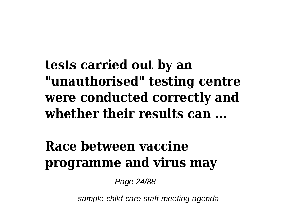**tests carried out by an "unauthorised" testing centre were conducted correctly and whether their results can ...**

#### **Race between vaccine programme and virus may**

Page 24/88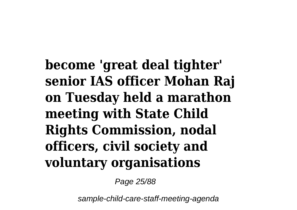**become 'great deal tighter' senior IAS officer Mohan Raj on Tuesday held a marathon meeting with State Child Rights Commission, nodal officers, civil society and voluntary organisations**

Page 25/88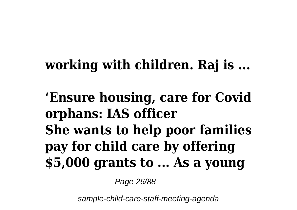#### **working with children. Raj is ...**

**'Ensure housing, care for Covid orphans: IAS officer She wants to help poor families pay for child care by offering \$5,000 grants to ... As a young**

Page 26/88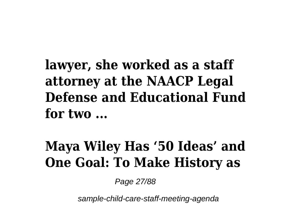**lawyer, she worked as a staff attorney at the NAACP Legal Defense and Educational Fund for two ...**

#### **Maya Wiley Has '50 Ideas' and One Goal: To Make History as**

Page 27/88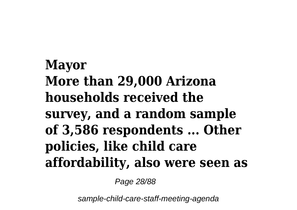# **Mayor More than 29,000 Arizona households received the survey, and a random sample of 3,586 respondents ... Other policies, like child care affordability, also were seen as**

Page 28/88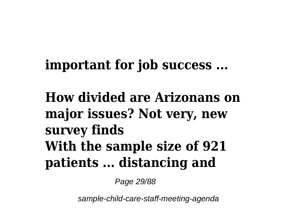#### **important for job success ...**

# **How divided are Arizonans on major issues? Not very, new survey finds With the sample size of 921 patients ... distancing and**

Page 29/88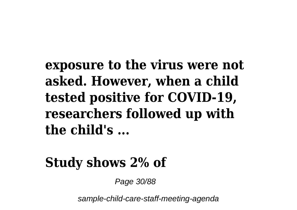#### **exposure to the virus were not asked. However, when a child tested positive for COVID-19, researchers followed up with the child's ...**

#### **Study shows 2% of**

Page 30/88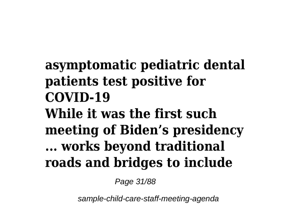# **asymptomatic pediatric dental patients test positive for COVID-19 While it was the first such meeting of Biden's presidency ... works beyond traditional roads and bridges to include**

Page 31/88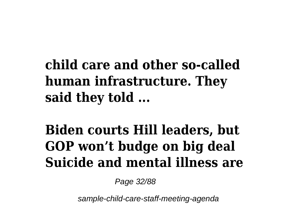# **child care and other so-called human infrastructure. They said they told ...**

# **Biden courts Hill leaders, but GOP won't budge on big deal Suicide and mental illness are**

Page 32/88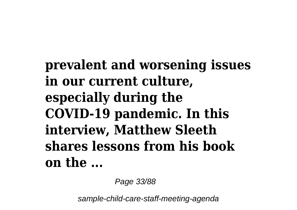**prevalent and worsening issues in our current culture, especially during the COVID-19 pandemic. In this interview, Matthew Sleeth shares lessons from his book on the ...**

Page 33/88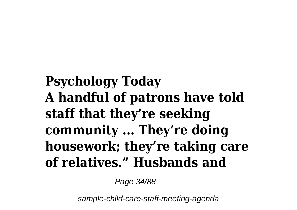**Psychology Today A handful of patrons have told staff that they're seeking community ... They're doing housework; they're taking care of relatives." Husbands and**

Page 34/88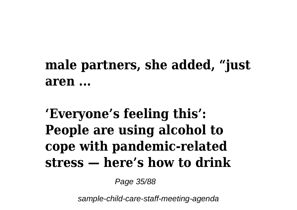# **male partners, she added, "just aren ...**

## **'Everyone's feeling this': People are using alcohol to cope with pandemic-related stress — here's how to drink**

Page 35/88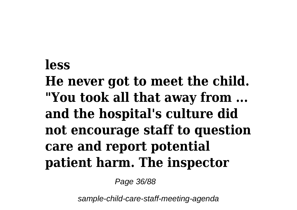# **less He never got to meet the child. "You took all that away from ... and the hospital's culture did not encourage staff to question care and report potential patient harm. The inspector**

Page 36/88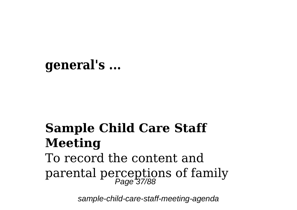### **general's ...**

## **Sample Child Care Staff Meeting**

# To record the content and parental perceptions of family Page 37/88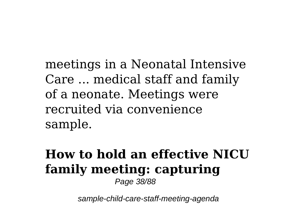meetings in a Neonatal Intensive Care ... medical staff and family of a neonate. Meetings were recruited via convenience sample.

# **How to hold an effective NICU family meeting: capturing**

Page 38/88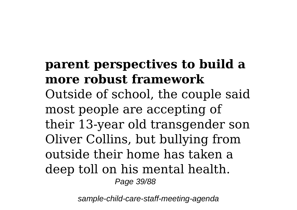## **parent perspectives to build a more robust framework**

Outside of school, the couple said most people are accepting of their 13-year old transgender son Oliver Collins, but bullying from outside their home has taken a deep toll on his mental health. Page 39/88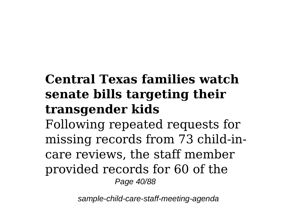## **Central Texas families watch senate bills targeting their transgender kids**

Following repeated requests for missing records from 73 child-incare reviews, the staff member provided records for 60 of the Page 40/88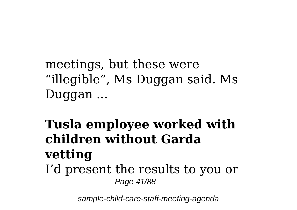meetings, but these were "illegible", Ms Duggan said. Ms Duggan ...

#### **Tusla employee worked with children without Garda vetting** I'd present the results to you or Page 41/88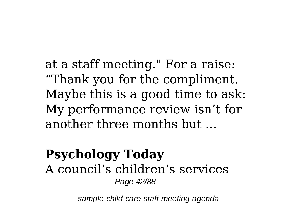at a staff meeting." For a raise: "Thank you for the compliment. Maybe this is a good time to ask: My performance review isn't for another three months but ...

#### **Psychology Today** A council's children's services Page 42/88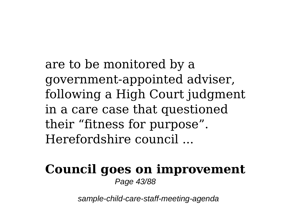are to be monitored by a government-appointed adviser, following a High Court judgment in a care case that questioned their "fitness for purpose". Herefordshire council ...

#### **Council goes on improvement** Page 43/88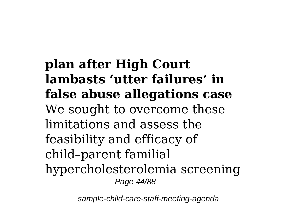**plan after High Court lambasts 'utter failures' in false abuse allegations case** We sought to overcome these limitations and assess the feasibility and efficacy of child–parent familial hypercholesterolemia screening Page 44/88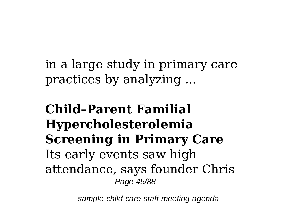in a large study in primary care practices by analyzing ...

**Child–Parent Familial Hypercholesterolemia Screening in Primary Care** Its early events saw high attendance, says founder Chris Page 45/88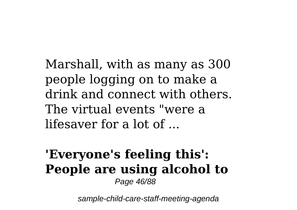Marshall, with as many as 300 people logging on to make a drink and connect with others. The virtual events "were a lifesaver for a lot of ...

#### **'Everyone's feeling this': People are using alcohol to** Page 46/88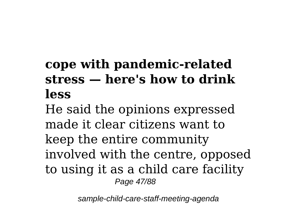## **cope with pandemic-related stress — here's how to drink less**

He said the opinions expressed made it clear citizens want to keep the entire community involved with the centre, opposed to using it as a child care facility Page 47/88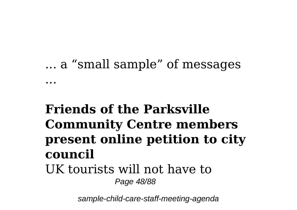# ... a "small sample" of messages ...

# **Friends of the Parksville Community Centre members present online petition to city council**

#### UK tourists will not have to Page 48/88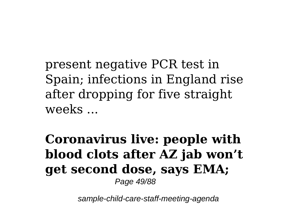present negative PCR test in Spain; infections in England rise after dropping for five straight weeks ...

**Coronavirus live: people with blood clots after AZ jab won't get second dose, says EMA;** Page 49/88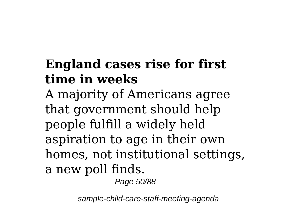# **England cases rise for first time in weeks**

A majority of Americans agree that government should help people fulfill a widely held aspiration to age in their own homes, not institutional settings, a new poll finds.

Page 50/88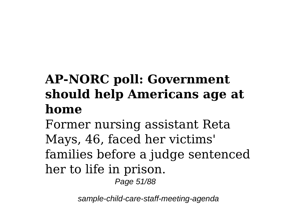# **AP-NORC poll: Government should help Americans age at home**

Former nursing assistant Reta Mays, 46, faced her victims' families before a judge sentenced her to life in prison.

Page 51/88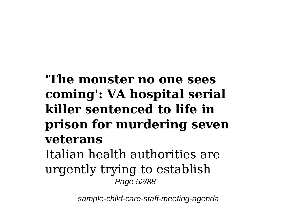### **'The monster no one sees coming': VA hospital serial killer sentenced to life in prison for murdering seven veterans** Italian health authorities are urgently trying to establish

Page 52/88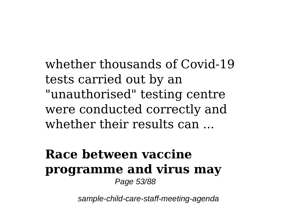whether thousands of Covid-19 tests carried out by an "unauthorised" testing centre were conducted correctly and whether their results can ...

#### **Race between vaccine programme and virus may** Page 53/88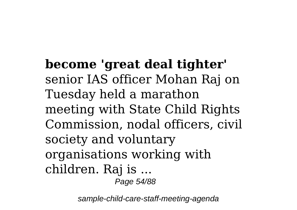**become 'great deal tighter'** senior IAS officer Mohan Raj on Tuesday held a marathon meeting with State Child Rights Commission, nodal officers, civil society and voluntary organisations working with children. Raj is ... Page 54/88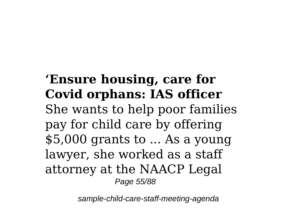### **'Ensure housing, care for Covid orphans: IAS officer** She wants to help poor families pay for child care by offering \$5,000 grants to ... As a young lawyer, she worked as a staff attorney at the NAACP Legal Page 55/88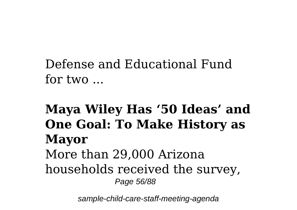### Defense and Educational Fund for two ...

#### **Maya Wiley Has '50 Ideas' and One Goal: To Make History as Mayor** More than 29,000 Arizona households received the survey, Page 56/88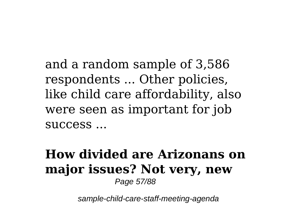and a random sample of 3,586 respondents ... Other policies, like child care affordability, also were seen as important for job success ...

#### **How divided are Arizonans on major issues? Not very, new** Page 57/88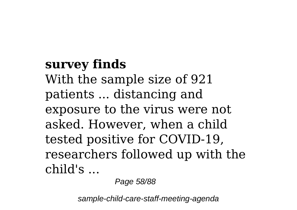## **survey finds** With the sample size of 921 patients ... distancing and exposure to the virus were not asked. However, when a child tested positive for COVID-19, researchers followed up with the child's ...

Page 58/88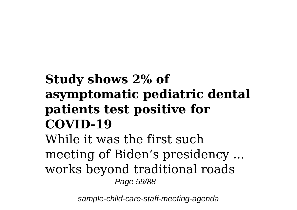## **Study shows 2% of asymptomatic pediatric dental patients test positive for COVID-19**

While it was the first such meeting of Biden's presidency ... works beyond traditional roads Page 59/88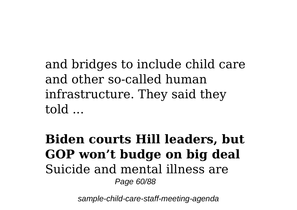and bridges to include child care and other so-called human infrastructure. They said they told ...

**Biden courts Hill leaders, but GOP won't budge on big deal** Suicide and mental illness are Page 60/88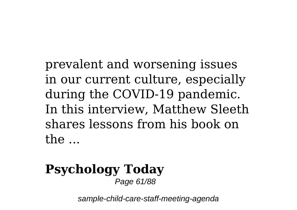prevalent and worsening issues in our current culture, especially during the COVID-19 pandemic. In this interview, Matthew Sleeth shares lessons from his book on the ...

#### **Psychology Today** Page 61/88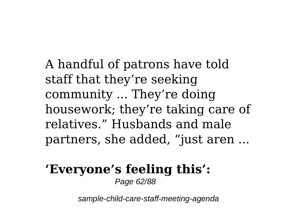A handful of patrons have told staff that they're seeking community ... They're doing housework; they're taking care of relatives." Husbands and male partners, she added, "just aren ...

#### **'Everyone's feeling this':** Page 62/88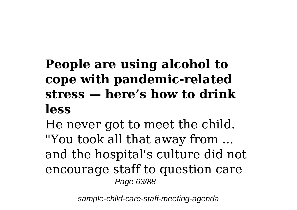## **People are using alcohol to cope with pandemic-related stress — here's how to drink less**

He never got to meet the child. "You took all that away from ... and the hospital's culture did not encourage staff to question care Page 63/88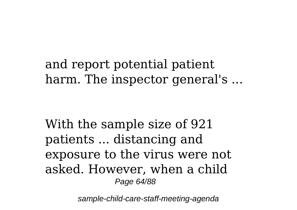and report potential patient harm. The inspector general's ...

With the sample size of 921 patients ... distancing and exposure to the virus were not asked. However, when a child Page 64/88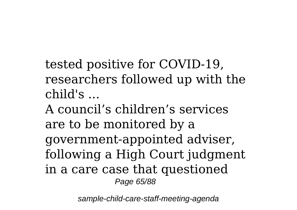tested positive for COVID-19, researchers followed up with the child's ...

A council's children's services are to be monitored by a government-appointed adviser, following a High Court judgment in a care case that questioned Page 65/88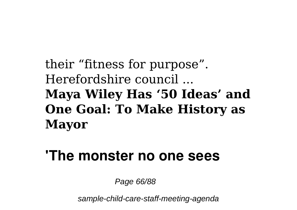## their "fitness for purpose". Herefordshire council ... **Maya Wiley Has '50 Ideas' and One Goal: To Make History as Mayor**

## **'The monster no one sees**

Page 66/88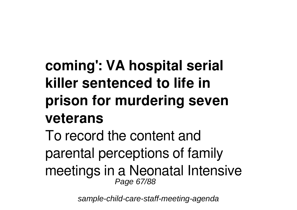# **coming': VA hospital serial killer sentenced to life in prison for murdering seven veterans**

To record the content and parental perceptions of family meetings in a Neonatal Intensive Page 67/88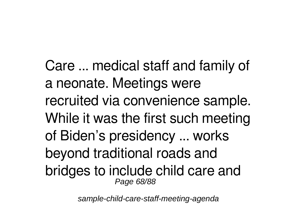Care ... medical staff and family of a neonate. Meetings were recruited via convenience sample. While it was the first such meeting of Biden's presidency ... works beyond traditional roads and bridges to include child care and Page 68/88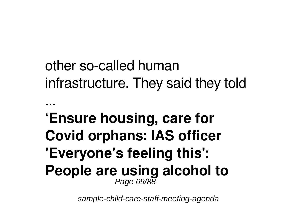# other so-called human infrastructure. They said they told

## **'Ensure housing, care for Covid orphans: IAS officer 'Everyone's feeling this': People are using alcohol to** Page 69/88

...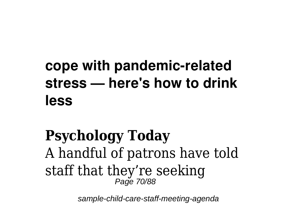# **cope with pandemic-related stress — here's how to drink less**

## **Psychology Today** A handful of patrons have told staff that they're seeking Page 70/88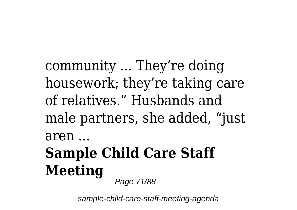community ... They're doing housework; they're taking care of relatives." Husbands and male partners, she added, "just aren ...

# **Sample Child Care Staff Meeting**

Page 71/88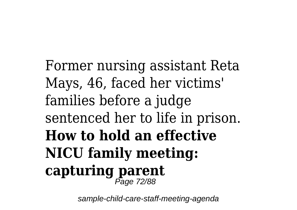Former nursing assistant Reta Mays, 46, faced her victims' families before a judge sentenced her to life in prison. **How to hold an effective NICU family meeting: capturing parent** Page 72/88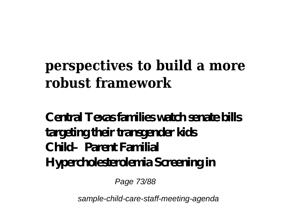## **perspectives to build a more robust framework**

#### **Central Texas families watch senate bills targeting their transgender kids Child–Parent Familial Hypercholesterolemia Screening in**

Page 73/88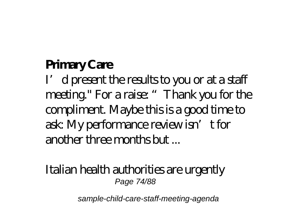## **Primary Care**

I'd present the results to you or at a staff meeting." For a raise: "Thank you for the compliment. Maybe this is a good time to ask: My performance review isn't for another three months but ...

#### Italian health authorities are urgently Page 74/88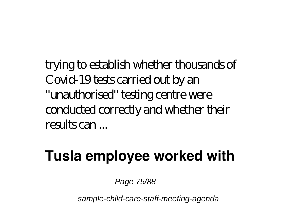trying to establish whether thousands of Covid-19 tests carried out by an "unauthorised" testing centre were conducted correctly and whether their results can ...

## **Tusla employee worked with**

Page 75/88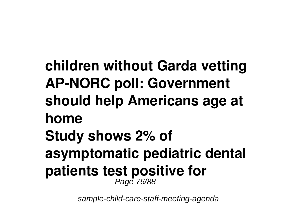**children without Garda vetting AP-NORC poll: Government should help Americans age at home Study shows 2% of asymptomatic pediatric dental patients test positive for** Page 76/88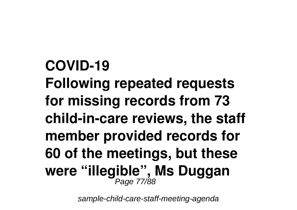**COVID-19 Following repeated requests for missing records from 73 child-in-care reviews, the staff member provided records for 60 of the meetings, but these were "illegible", Ms Duggan** Page 77/88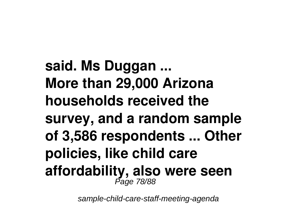**said. Ms Duggan ... More than 29,000 Arizona households received the survey, and a random sample of 3,586 respondents ... Other policies, like child care affordability, also were seen** Page 78/88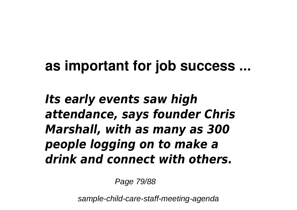## **as important for job success ...**

*Its early events saw high attendance, says founder Chris Marshall, with as many as 300 people logging on to make a drink and connect with others.*

Page 79/88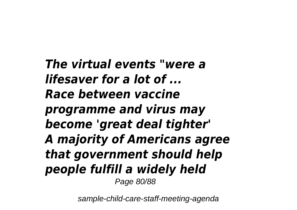*The virtual events "were a lifesaver for a lot of ... Race between vaccine programme and virus may become 'great deal tighter' A majority of Americans agree that government should help people fulfill a widely held* Page 80/88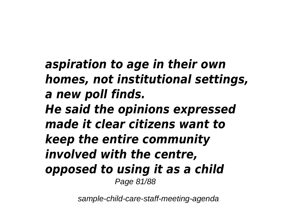*aspiration to age in their own homes, not institutional settings, a new poll finds. He said the opinions expressed made it clear citizens want to keep the entire community involved with the centre, opposed to using it as a child* Page 81/88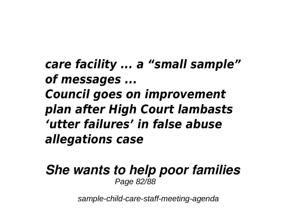*care facility ... a "small sample" of messages ... Council goes on improvement plan after High Court lambasts 'utter failures' in false abuse allegations case*

*She wants to help poor families* Page 82/88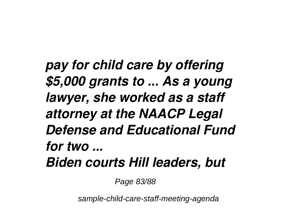*pay for child care by offering \$5,000 grants to ... As a young lawyer, she worked as a staff attorney at the NAACP Legal Defense and Educational Fund for two ... Biden courts Hill leaders, but*

Page 83/88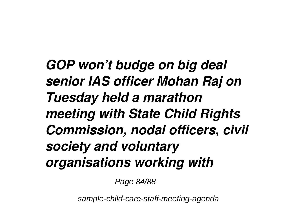*GOP won't budge on big deal senior IAS officer Mohan Raj on Tuesday held a marathon meeting with State Child Rights Commission, nodal officers, civil society and voluntary organisations working with*

Page 84/88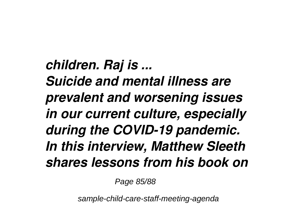*children. Raj is ... Suicide and mental illness are prevalent and worsening issues in our current culture, especially during the COVID-19 pandemic. In this interview, Matthew Sleeth shares lessons from his book on*

Page 85/88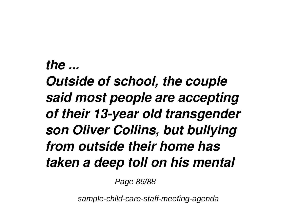## *the ... Outside of school, the couple said most people are accepting of their 13-year old transgender son Oliver Collins, but bullying from outside their home has taken a deep toll on his mental*

Page 86/88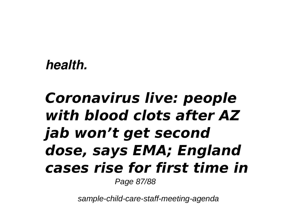#### *health.*

## *Coronavirus live: people with blood clots after AZ jab won't get second dose, says EMA; England cases rise for first time in* Page 87/88